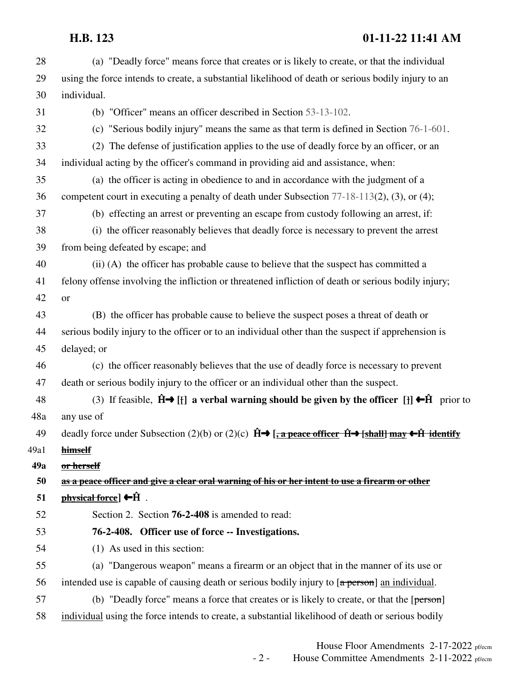| 28   | (a) "Deadly force" means force that creates or is likely to create, or that the individual                                                                                     |
|------|--------------------------------------------------------------------------------------------------------------------------------------------------------------------------------|
| 29   | using the force intends to create, a substantial likelihood of death or serious bodily injury to an                                                                            |
| 30   | individual.                                                                                                                                                                    |
| 31   | (b) "Officer" means an officer described in Section 53-13-102.                                                                                                                 |
| 32   | (c) "Serious bodily injury" means the same as that term is defined in Section 76-1-601.                                                                                        |
| 33   | (2) The defense of justification applies to the use of deadly force by an officer, or an                                                                                       |
| 34   | individual acting by the officer's command in providing aid and assistance, when:                                                                                              |
| 35   | (a) the officer is acting in obedience to and in accordance with the judgment of a                                                                                             |
| 36   | competent court in executing a penalty of death under Subsection 77-18-113(2), (3), or (4);                                                                                    |
| 37   | (b) effecting an arrest or preventing an escape from custody following an arrest, if:                                                                                          |
| 38   | (i) the officer reasonably believes that deadly force is necessary to prevent the arrest                                                                                       |
| 39   | from being defeated by escape; and                                                                                                                                             |
| 40   | (ii) (A) the officer has probable cause to believe that the suspect has committed a                                                                                            |
| 41   | felony offense involving the infliction or threatened infliction of death or serious bodily injury;                                                                            |
| 42   | <b>or</b>                                                                                                                                                                      |
| 43   | (B) the officer has probable cause to believe the suspect poses a threat of death or                                                                                           |
| 44   | serious bodily injury to the officer or to an individual other than the suspect if apprehension is                                                                             |
| 45   | delayed; or                                                                                                                                                                    |
| 46   | (c) the officer reasonably believes that the use of deadly force is necessary to prevent                                                                                       |
| 47   | death or serious bodily injury to the officer or an individual other than the suspect.                                                                                         |
| 48   | (3) If feasible, $\hat{H} \rightarrow [f]$ a verbal warning should be given by the officer [] $\leftarrow \hat{H}$ prior to                                                    |
| 48a  | any use of                                                                                                                                                                     |
| 49   | deadly force under Subsection (2)(b) or (2)(c) $\hat{H} \rightarrow \left[\frac{1}{2} \arctan{\theta} \hat{H} \right]$ $\rightarrow$ [shall] may $\leftarrow \hat{H}$ identify |
| 49a1 | himself                                                                                                                                                                        |
| 49a  | or herself                                                                                                                                                                     |
| 50   | as a peace officer and give a clear oral warning of his or her intent to use a firearm or other                                                                                |
| 51   | <b>physical force</b> ] ← H .                                                                                                                                                  |
| 52   | Section 2. Section 76-2-408 is amended to read:                                                                                                                                |
| 53   | 76-2-408. Officer use of force -- Investigations.                                                                                                                              |
| 54   | (1) As used in this section:                                                                                                                                                   |
| 55   | (a) "Dangerous weapon" means a firearm or an object that in the manner of its use or                                                                                           |
| 56   | intended use is capable of causing death or serious bodily injury to [a person] an individual.                                                                                 |
| 57   | (b) "Deadly force" means a force that creates or is likely to create, or that the [person]                                                                                     |
| 58   | individual using the force intends to create, a substantial likelihood of death or serious bodily                                                                              |
|      |                                                                                                                                                                                |

House Floor Amendments 2-17-2022 pf/ecm - 2 - House Committee Amendments 2-11-2022 pf/ecm